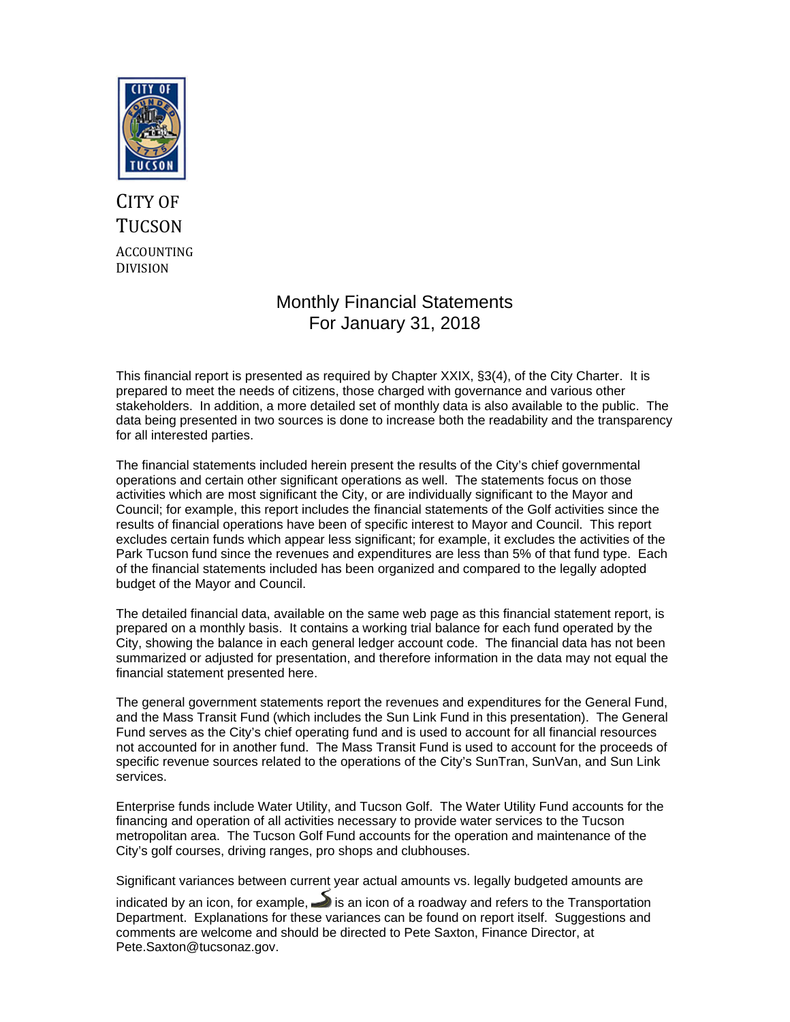

# CITY OF **TUCSON** ACCOUNTING DIVISION

## Monthly Financial Statements For January 31, 2018

This financial report is presented as required by Chapter XXIX, §3(4), of the City Charter. It is prepared to meet the needs of citizens, those charged with governance and various other stakeholders. In addition, a more detailed set of monthly data is also available to the public. The data being presented in two sources is done to increase both the readability and the transparency for all interested parties.

The financial statements included herein present the results of the City's chief governmental operations and certain other significant operations as well. The statements focus on those activities which are most significant the City, or are individually significant to the Mayor and Council; for example, this report includes the financial statements of the Golf activities since the results of financial operations have been of specific interest to Mayor and Council. This report excludes certain funds which appear less significant; for example, it excludes the activities of the Park Tucson fund since the revenues and expenditures are less than 5% of that fund type. Each of the financial statements included has been organized and compared to the legally adopted budget of the Mayor and Council.

The detailed financial data, available on the same web page as this financial statement report, is prepared on a monthly basis. It contains a working trial balance for each fund operated by the City, showing the balance in each general ledger account code. The financial data has not been summarized or adjusted for presentation, and therefore information in the data may not equal the financial statement presented here.

The general government statements report the revenues and expenditures for the General Fund, and the Mass Transit Fund (which includes the Sun Link Fund in this presentation). The General Fund serves as the City's chief operating fund and is used to account for all financial resources not accounted for in another fund. The Mass Transit Fund is used to account for the proceeds of specific revenue sources related to the operations of the City's SunTran, SunVan, and Sun Link services.

Enterprise funds include Water Utility, and Tucson Golf. The Water Utility Fund accounts for the financing and operation of all activities necessary to provide water services to the Tucson metropolitan area. The Tucson Golf Fund accounts for the operation and maintenance of the City's golf courses, driving ranges, pro shops and clubhouses.

Significant variances between current year actual amounts vs. legally budgeted amounts are

indicated by an icon, for example,  $\rightarrow$  is an icon of a roadway and refers to the Transportation Department. Explanations for these variances can be found on report itself. Suggestions and comments are welcome and should be directed to Pete Saxton, Finance Director, at Pete.Saxton@tucsonaz.gov.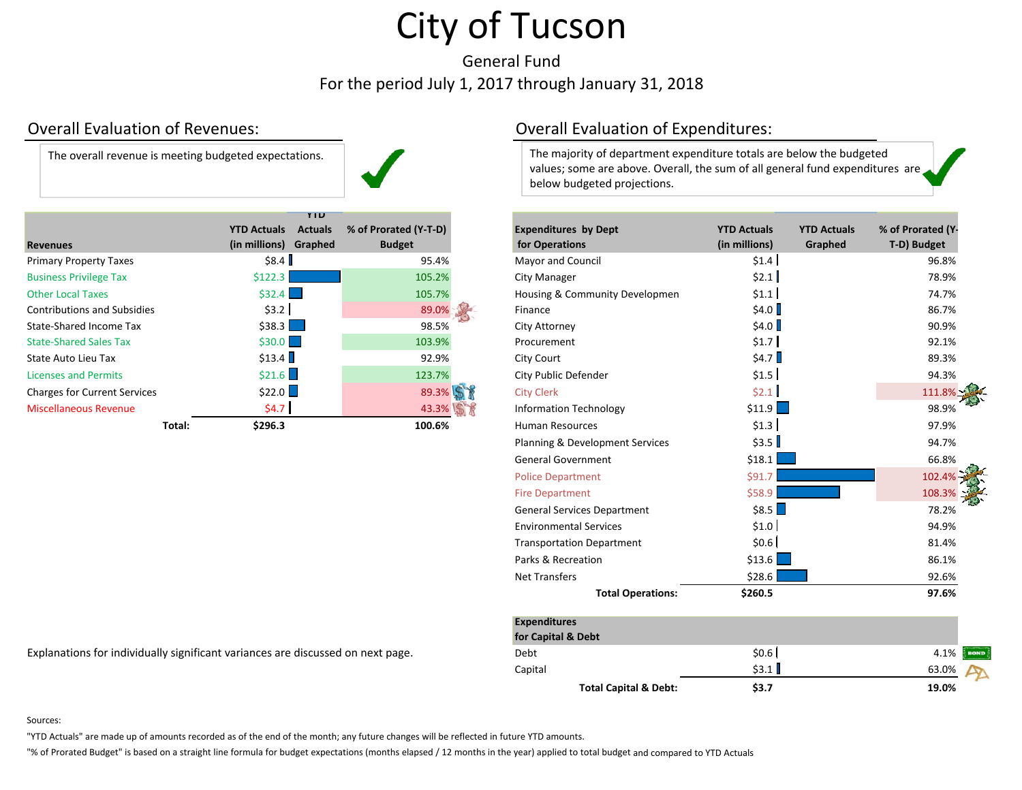General Fund For the period July 1, 2017 through January 31, 2018

### Overall Evaluation

The overall revenue is meeting budgeted expectations.

|                                     |                       | YIU            |                       |                                |                    |                    |                  |
|-------------------------------------|-----------------------|----------------|-----------------------|--------------------------------|--------------------|--------------------|------------------|
|                                     | <b>YTD Actuals</b>    | <b>Actuals</b> | % of Prorated (Y-T-D) | <b>Expenditures by Dept</b>    | <b>YTD Actuals</b> | <b>YTD Actuals</b> | % of Prorated (Y |
| <b>Revenues</b>                     | (in millions) Graphed |                | <b>Budget</b>         | for Operations                 | (in millions)      | Graphed            | T-D) Budget      |
| <b>Primary Property Taxes</b>       | \$8.4                 |                | 95.4%                 | <b>Mayor and Council</b>       | \$1.4              |                    | 96.8%            |
| <b>Business Privilege Tax</b>       | \$122.3               |                | 105.2%                | <b>City Manager</b>            | \$2.1              |                    | 78.9%            |
| <b>Other Local Taxes</b>            | \$32.4                |                | 105.7%                | Housing & Community Developmen | \$1.1              |                    | 74.7%            |
| <b>Contributions and Subsidies</b>  | \$3.2                 |                | 89.0%                 | Finance                        | \$4.0              |                    | 86.7%            |
| State-Shared Income Tax             | $$38.3$               |                | 98.5%                 | City Attorney                  | \$4.0              |                    | 90.9%            |
| <b>State-Shared Sales Tax</b>       | \$30.0                |                | 103.9%                | Procurement                    | \$1.7              |                    | 92.1%            |
| State Auto Lieu Tax                 | \$13.4                |                | 92.9%                 | City Court                     | \$4.7              |                    | 89.3%            |
| <b>Licenses and Permits</b>         | \$21.6                |                | 123.7%                | City Public Defender           | \$1.5              |                    | 94.3%            |
| <b>Charges for Current Services</b> | \$22.0                |                | 89.3%                 | <b>City Clerk</b>              | \$2.1              |                    | 111.8%           |
| <b>Miscellaneous Revenue</b>        | \$4.7                 |                | 43.3%                 | <b>Information Technology</b>  | \$11.9             |                    | 98.9%            |
| Total:                              | \$296.3               |                | 100.6%                | <b>Human Resources</b>         | \$1.3              |                    | 97.9%            |

Explanations for individually significant variances are discussed on next page.

### Overall Evaluation of Expenditures:

The majority of department expenditure totals are below the budgeted values; some are above. Overall, the sum of all general fund expenditures are below budgeted projections.

| nues                                                                        | <b>YTD Actuals</b><br>(in millions) Graphed | <b>Actuals</b> | % of Prorated (Y-T-D)<br><b>Budget</b> | <b>Expenditures by Dept</b><br>for Operations | <b>YTD Actuals</b><br>(in millions) | <b>YTD Actuals</b><br>Graphed | % of Prorated (Y-<br>T-D) Budget |
|-----------------------------------------------------------------------------|---------------------------------------------|----------------|----------------------------------------|-----------------------------------------------|-------------------------------------|-------------------------------|----------------------------------|
| ary Property Taxes                                                          | \$8.4]                                      |                | 95.4%                                  | Mayor and Council                             | \$1.4]                              |                               | 96.8%                            |
| <b>ness Privilege Tax</b>                                                   | \$122.3                                     |                | 105.2%                                 | <b>City Manager</b>                           | \$2.1                               |                               | 78.9%                            |
| r Local Taxes                                                               | \$32.4                                      |                | 105.7%                                 | Housing & Community Developmen                | \$1.1]                              |                               | 74.7%                            |
| ributions and Subsidies                                                     | \$3.2                                       |                | 89.0%                                  | Finance                                       | \$4.0                               |                               | 86.7%                            |
| -Shared Income Tax                                                          | $$38.3$ $\Box$                              |                | 98.5%                                  | <b>City Attorney</b>                          | \$4.0                               |                               | 90.9%                            |
| -Shared Sales Tax                                                           | \$30.0                                      |                | 103.9%                                 | Procurement                                   | \$1.7                               |                               | 92.1%                            |
| Auto Lieu Tax                                                               | \$13.4                                      |                | 92.9%                                  | City Court                                    | \$4.7                               |                               | 89.3%                            |
| ses and Permits                                                             | \$21.6                                      |                | 123.7%                                 | City Public Defender                          | \$1.5                               |                               | 94.3%                            |
| ges for Current Services                                                    | \$22.0                                      |                | 89.3%                                  | <b>City Clerk</b>                             | \$2.1                               |                               | 111.8%                           |
| ellaneous Revenue                                                           | \$4.7                                       |                | 43.3%                                  | <b>Information Technology</b>                 | \$11.9                              |                               | 98.9%                            |
| Total:                                                                      | \$296.3                                     |                | 100.6%                                 | <b>Human Resources</b>                        | \$1.3                               |                               | 97.9%                            |
|                                                                             |                                             |                |                                        | Planning & Development Services               | \$3.5                               |                               | 94.7%                            |
|                                                                             |                                             |                |                                        | <b>General Government</b>                     | \$18.1                              |                               | 66.8%                            |
|                                                                             |                                             |                |                                        | <b>Police Department</b>                      | \$91.7                              |                               | 102.4%                           |
|                                                                             |                                             |                |                                        | <b>Fire Department</b>                        | \$58.9                              |                               | 108.3%                           |
|                                                                             |                                             |                |                                        | <b>General Services Department</b>            | \$8.5                               |                               | 78.2%                            |
|                                                                             |                                             |                |                                        | <b>Environmental Services</b>                 | \$1.0                               |                               | 94.9%                            |
|                                                                             |                                             |                |                                        | <b>Transportation Department</b>              | \$0.6]                              |                               | 81.4%                            |
|                                                                             |                                             |                |                                        | Parks & Recreation                            | \$13.6                              |                               | 86.1%                            |
|                                                                             |                                             |                |                                        | <b>Net Transfers</b>                          | \$28.6                              |                               | 92.6%                            |
|                                                                             |                                             |                |                                        | <b>Total Operations:</b>                      | \$260.5                             |                               | 97.6%                            |
|                                                                             |                                             |                |                                        | <b>Expenditures</b><br>for Capital & Debt     |                                     |                               |                                  |
| anations for individually significant variances are discussed on next page. |                                             |                |                                        | Debt                                          | \$0.6]                              |                               | 4.1%<br><b>BONI</b>              |
|                                                                             |                                             |                |                                        | Capital                                       | \$3.1                               |                               | 63.0%                            |
|                                                                             |                                             |                |                                        | <b>Total Capital &amp; Debt:</b>              | \$3.7                               |                               | 19.0%                            |

Sources:

"YTD Actuals" are made up of amounts recorded as of the end of the month; any future changes will be reflected in future YTD amounts.

"% of Prorated Budget" is based on <sup>a</sup> straight line formula for budget expectations (months elapsed / 12 months in the year) applied to total budget and compared to YTD Actuals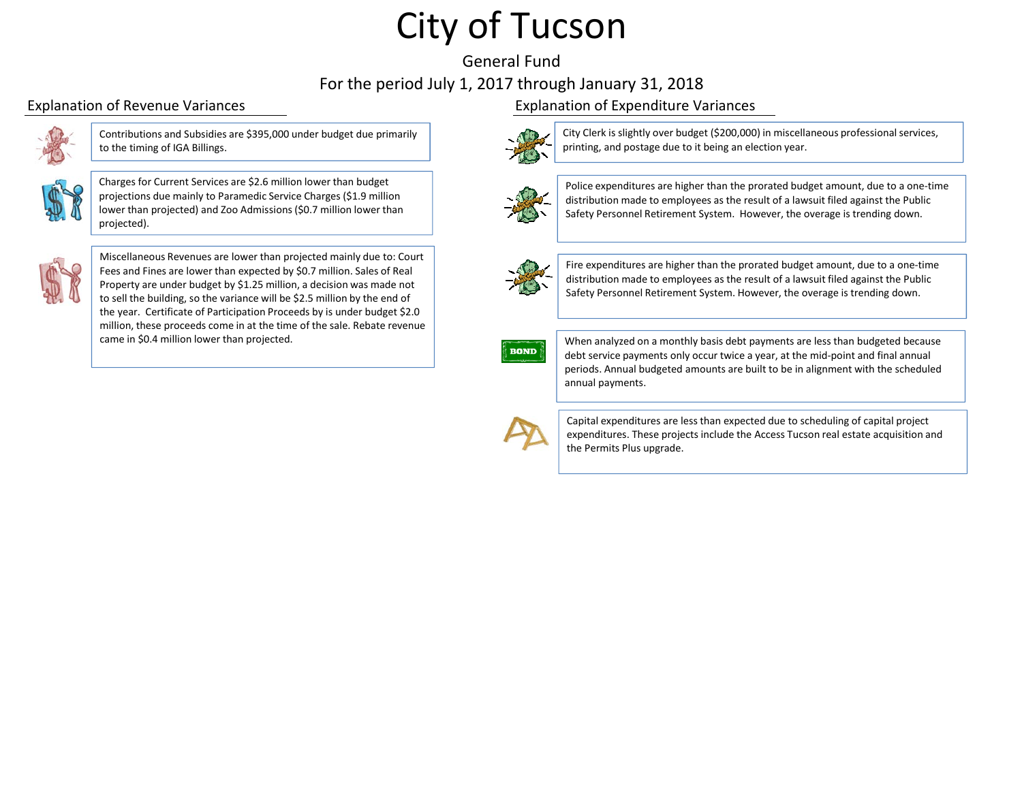# General FundFor the period July 1, 2017 through January 31, 2018



Contributions and Subsidies are \$395,000 under budget due primarily to the timing of IGA Billings.



Charges for Current Services are \$2.6 million lower than budget projections due mainly to Paramedic Service Charges (\$1.9 million lower than projected) and Zoo Admissions(\$0.7 million lower than projected).



Miscellaneous Revenues are lower than projected mainly due to: Court Fees and Fines are lower than expected by \$0.7 million. Sales of Real Property are under budget by \$1.25 million, <sup>a</sup> decision was made not to sell the building, so the variance will be \$2.5 million by the end of the year. Certificate of Participation Proceeds by is under budget \$2.0 million, these proceeds come in at the time of the sale. Rebate revenue came in \$0.4 million lower than projected.

### Explanation of Revenue Variances Explanation of Expenditure Variances



City Clerk is slightly over budget (\$200,000) in miscellaneous professionalservices, printing, and postage due to it being an election year.



Police expenditures are higher than the prorated budget amount, due to <sup>a</sup> one‐time distribution made to employees as the result of <sup>a</sup> lawsuit filed against the Public Safety Personnel Retirement System. However, the overage is trending down.



Fire expenditures are higher than the prorated budget amount, due to <sup>a</sup> one‐time distribution made to employees as the result of <sup>a</sup> lawsuit filed against the Public Safety Personnel Retirement System. However, the overage is trending down.



When analyzed on <sup>a</sup> monthly basis debt payments are less than budgeted because debt service payments only occur twice <sup>a</sup> year, at the mid‐point and final annual periods. Annual budgeted amounts are built to be in alignment with the scheduled annual payments.



Capital expenditures are less than expected due to scheduling of capital project expenditures. These projects include the Access Tucson real estate acquisition and the Permits Plus upgrade.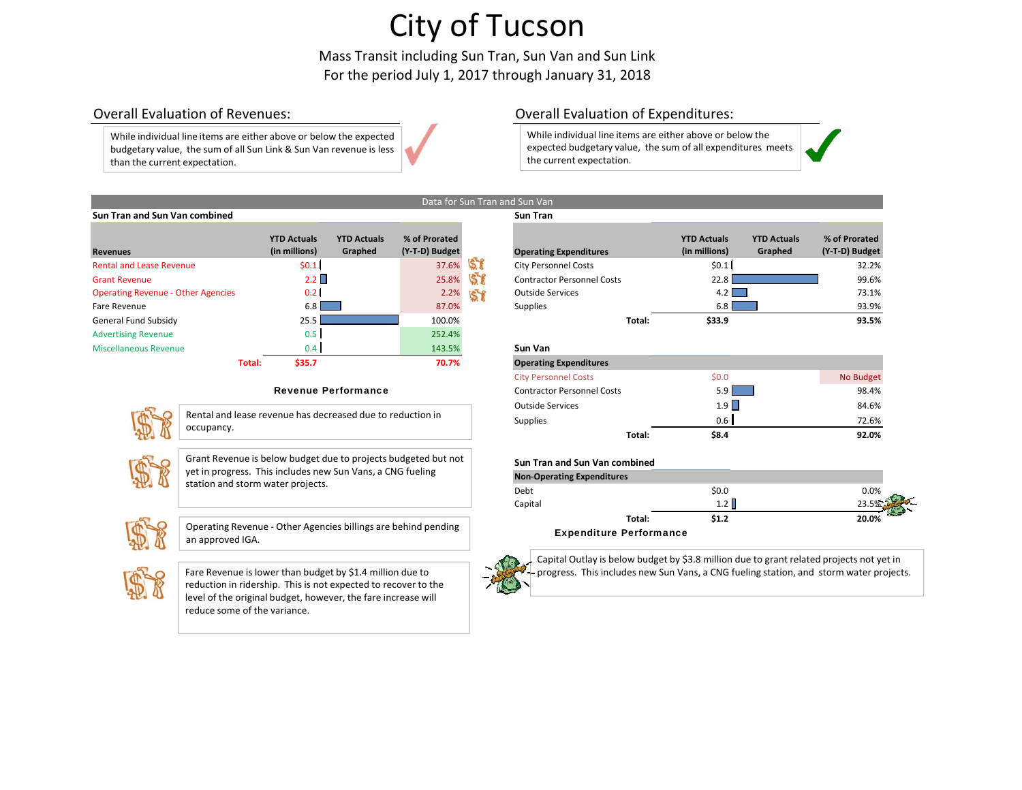Mass Transit including Sun Tran, Sun Van and Sun Link For the period July 1, 2017 through January 31, 2018

### Overall Evaluation

While individual line items are either above or below the expected budgetary value, the sum of all Sun Link & Sun Van revenue is less than the current expectation.

### Overall Evaluation of Expenditures:

While individual line items are either above or below the expected budgetary value, the sum of all expenditures meets the current expectation.



### **Sun Tran and Sun Van combined Sun Tran**

| Revenues                                  | <b>YTD Actuals</b><br>(in millions) | <b>YTD Actuals</b><br>Graphed | % of Prorated<br>(Y-T-D) Budget |    | <b>Operating Expenditures</b>     |        | <b>YTD Actuals</b><br>(in millions) | <b>YTD Actuals</b><br>Graphed | % of Prorated<br>(Y-T-D) Budget |
|-------------------------------------------|-------------------------------------|-------------------------------|---------------------------------|----|-----------------------------------|--------|-------------------------------------|-------------------------------|---------------------------------|
|                                           |                                     |                               |                                 |    |                                   |        |                                     |                               |                                 |
| <b>Rental and Lease Revenue</b>           | \$0.1                               |                               | 37.6%                           |    | <b>City Personnel Costs</b>       |        | \$0.1                               |                               | 32.2%                           |
| <b>Grant Revenue</b>                      | 2.2                                 |                               | 25.8%                           |    | <b>Contractor Personnel Costs</b> |        | 22.8                                |                               | 99.6%                           |
| <b>Operating Revenue - Other Agencies</b> | 0.2 <sub>1</sub>                    |                               | 2.2%                            | 58 | <b>Outside Services</b>           |        | 4.2                                 |                               | 73.1%                           |
| Fare Revenue                              | 6.8                                 |                               | 87.0%                           |    | Supplies                          |        | 6.8                                 |                               | 93.9%                           |
| General Fund Subsidy                      | 25.5                                |                               | 100.0%                          |    |                                   | Total: | \$33.9                              |                               | 93.5%                           |
| <b>Advertising Revenue</b>                | 0.5                                 |                               | 252.4%                          |    |                                   |        |                                     |                               |                                 |
| Miscellaneous Revenue                     | 0.4                                 |                               | 143.5%                          |    | Sun Van                           |        |                                     |                               |                                 |
| Total:                                    | \$35.7                              |                               | 70.7%                           |    | <b>Operating Expenditures</b>     |        |                                     |                               |                                 |

### Revenue Performance



Rental and lease revenue has decreased due to reduction in occupancy.



Grant Revenue is below budget due to projects budgeted but not yet in progress. This includes new Sun Vans, <sup>a</sup> CNG fueling station and storm water projects.



Operating Revenue ‐ Other Agencies billings are behind pending an approved IGA.



Fare Revenue is lower than budget by \$1.4 million due to reduction in ridership. This is not expected to recover to the level of the original budget, however, the fare increase will reduce some of the variance.

|                                 | <b>YTD Actuals</b> | <b>YTD Actuals</b> | % of Prorated  |      |                                   | <b>YTD Actuals</b> | <b>YTD Actuals</b> | % of Prorated  |
|---------------------------------|--------------------|--------------------|----------------|------|-----------------------------------|--------------------|--------------------|----------------|
|                                 | (in millions)      | Graphed            | (Y-T-D) Budget |      | <b>Operating Expenditures</b>     | (in millions)      | Graphed            | (Y-T-D) Budget |
| d Lease Revenue                 | \$0.1              |                    | 37.6%          |      | <b>City Personnel Costs</b>       | \$0.1              |                    | 32.2%          |
| <i>r</i> enue                   | $2.2 \square$      |                    | 25.8%          |      | <b>Contractor Personnel Costs</b> | 22.81              |                    | 99.6%          |
| <b>Revenue - Other Agencies</b> | 0.21               |                    |                | 2.2% | <b>Outside Services</b>           | 4.2                |                    | 73.1%          |
| nue.                            | 6.8 I              |                    | 87.0%          |      | Supplies                          | 6.8                |                    | 93.9%          |
| und Subsidy                     | 25.5               |                    | 100.0%         |      | Total:                            | \$33.9             |                    | 93.5%          |

### **Sun Van**

| <b>Operating Expenditures</b>     |        |       |           |
|-----------------------------------|--------|-------|-----------|
| <b>City Personnel Costs</b>       |        | \$0.0 | No Budget |
| <b>Contractor Personnel Costs</b> |        | 5.9   | 98.4%     |
| <b>Outside Services</b>           |        | 1.9   | 84.6%     |
| Supplies                          |        | 0.6   | 72.6%     |
|                                   | Total: | \$8.4 | 92.0%     |

### **Sun Tran and Sun Van combined**

| <b>Non-Operating Expenditures</b> |       |       |
|-----------------------------------|-------|-------|
| Debt                              | \$0.0 | 0.0%  |
| Capital                           | 1.2   |       |
| Total:                            | \$1.2 | 20.0% |
| <b>Expenditure Performance</b>    |       |       |



Capital Outlay is below budget by \$3.8 million due to grant related projects not yet in progress. This includes new Sun Vans, <sup>a</sup> CNG fueling station, and storm water projects.

### Data for Sun Tran and Sun Van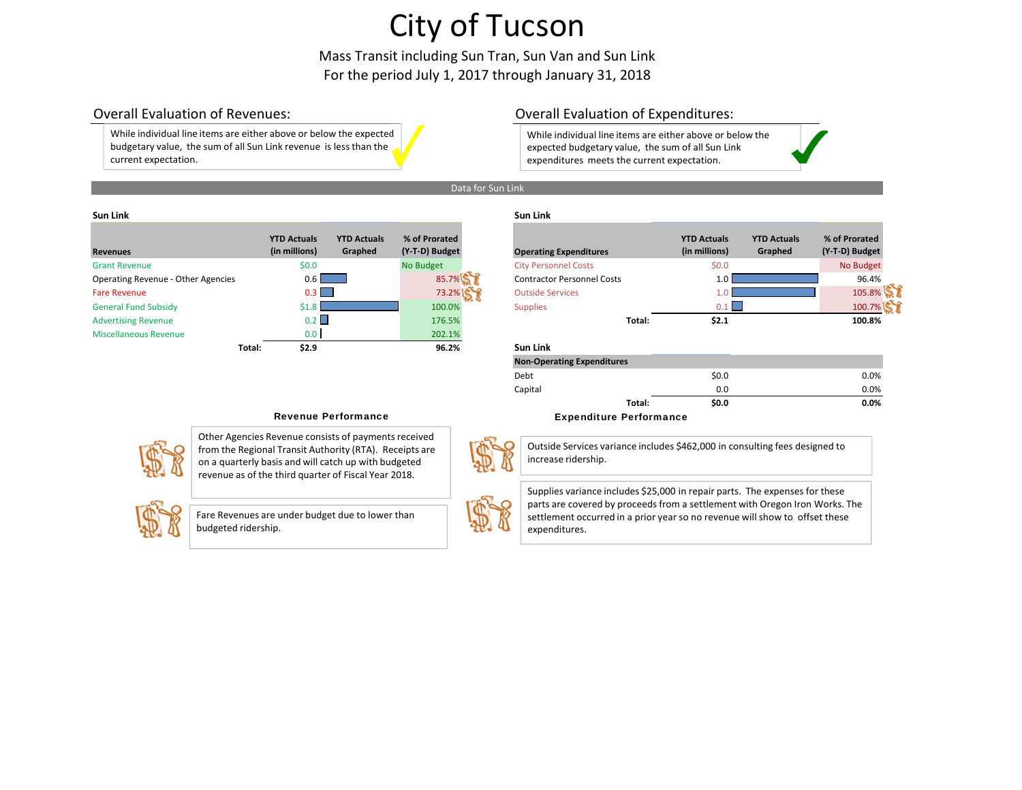Mass Transit including Sun Tran, Sun Van and Sun Link For the period July 1, 2017 through January 31, 2018

### Overall Evaluation

While individual line items are either above or below the expected budgetary value, the sum of all Sun Link revenue is less than the current expectation.

### Overall Evaluation of Expenditures:

```
While individual line items are either above or below the
expected budgetary value, the sum of all Sun Link
expenditures meets the current expectation.
```


#### Data for Sun Link

#### **Sun**

| <b>Revenues</b>                    |        | <b>YTD Actuals</b><br>(in millions) | <b>YTD Actuals</b><br>Graphed | % of Prorated<br>(Y-T-D) Budget | <b>Operating Expenditures</b>     |        | <b>YTD Actuals</b><br>(in millions) | <b>YTD Actuals</b><br>Graphed | % of Prorated<br>(Y-T-D) Budget |
|------------------------------------|--------|-------------------------------------|-------------------------------|---------------------------------|-----------------------------------|--------|-------------------------------------|-------------------------------|---------------------------------|
| <b>Grant Revenue</b>               |        | \$0.0                               |                               | No Budget                       | <b>City Personnel Costs</b>       |        | \$0.0                               |                               | No Budget                       |
| Operating Revenue - Other Agencies |        | $0.6 \mid$                          |                               | 85.7%                           | <b>Contractor Personnel Costs</b> |        | 1.0 <sub>1</sub>                    |                               | 96.4%                           |
| <b>Fare Revenue</b>                |        | 0.3                                 |                               | 73.2%                           | <b>Outside Services</b>           |        |                                     |                               | 105.8%                          |
| <b>General Fund Subsidy</b>        |        | \$1.8                               |                               | 100.0%                          | <b>Supplies</b>                   |        | $0.1 \mid$                          |                               | 100.7%                          |
| <b>Advertising Revenue</b>         |        | 0.2                                 |                               | 176.5%                          |                                   | Total: | \$2.1                               |                               | 100.8%                          |
| <b>Miscellaneous Revenue</b>       |        | 0.0 <sub>1</sub>                    |                               | 202.1%                          |                                   |        |                                     |                               |                                 |
|                                    | Total: | \$2.9                               |                               | 96.2%                           | Sun Link                          |        |                                     |                               |                                 |

### **Link Sun Link**

|                                | <b>YTD Actuals</b> | <b>YTD Actuals</b> | % of Prorated  |                                   | <b>YTD Actuals</b> | <b>YTD Actuals</b> | % of Prorated  |
|--------------------------------|--------------------|--------------------|----------------|-----------------------------------|--------------------|--------------------|----------------|
| nues                           | (in millions)      | Graphed            | (Y-T-D) Budget | <b>Operating Expenditures</b>     | (in millions)      | Graphed            | (Y-T-D) Budget |
| t Revenue                      | \$0.0\$            |                    | No Budget      | <b>City Personnel Costs</b>       | \$0.0\$            |                    | No Budget      |
| ating Revenue - Other Agencies | $0.6^{\circ}$      |                    | 85.7%          | <b>Contractor Personnel Costs</b> | $1.0^{\circ}$      |                    | 96.4%          |
| Revenue                        | 0.3 I              |                    | 73.2%          | <b>Outside Services</b>           |                    |                    | 105.8%         |
| ral Fund Subsidy               | \$1.8              |                    | 100.0%         | <b>Supplies</b>                   | 0.1                |                    | 100.7%         |
| rtising Revenue                | $0.2 \parallel$    |                    | 176.5%         | Total:                            | \$2.1              |                    | 100.8%         |
| ellaneous Revenue              | 0.0 <sub>1</sub>   |                    | 202.1%         |                                   |                    |                    |                |

# **Total: \$2.9 96.2% Sun Link**

| <b>Non-Operating Expenditures</b> |       |         |
|-----------------------------------|-------|---------|
| Debt                              | \$0.0 | $0.0\%$ |
| Capital                           | 0.0   | $0.0\%$ |
| Total:                            | \$0.0 | 0.0%    |

#### Revenue Performance **Expenditure Performance**



Other Agencies Revenue consists of payments received from the Regional Transit Authority (RTA). Receipts are on <sup>a</sup> quarterly basis and will catch up with budgeted revenue as of the third quarter of Fiscal Year 2018.



Fare Revenues are under budget due to lower than budgeted ridership.



Outside Services variance includes \$462,000 in consulting fees designed to increase ridership.

Supplies variance includes \$25,000 in repair parts. The expenses for these parts are covered by proceeds from <sup>a</sup> settlement with Oregon Iron Works. The settlement occurred in <sup>a</sup> prior year so no revenue will show to offset these expenditures.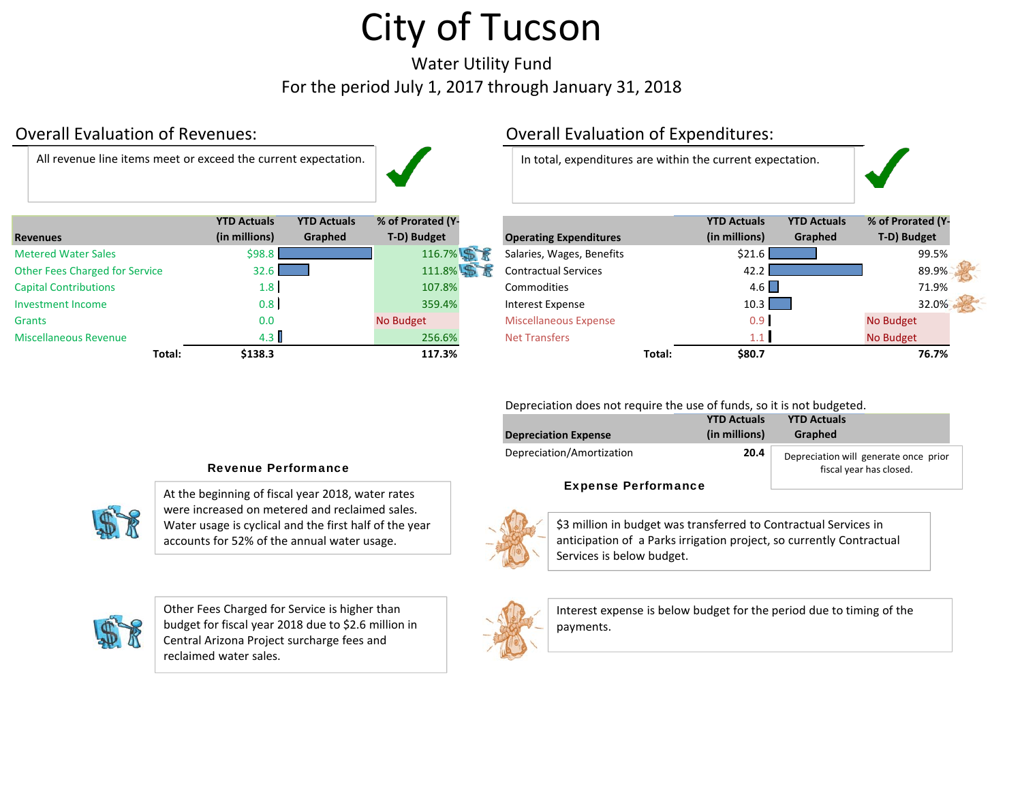Water Utility Fund For the period July 1, 2017 through January 31, 2018

# Overall Evaluation

All revenue

|                                       | <b>YTD Actuals</b> | <b>YTD Actuals</b> | % of Prorated (Y- |                               |        | <b>YTD Actuals</b> | <b>YTD Actuals</b> | % of Prorated (Y |
|---------------------------------------|--------------------|--------------------|-------------------|-------------------------------|--------|--------------------|--------------------|------------------|
| <b>Revenues</b>                       | (in millions)      | Graphed            | T-D) Budget       | <b>Operating Expenditures</b> |        | (in millions)      | Graphed            | T-D) Budget      |
| <b>Metered Water Sales</b>            | \$98.8             |                    | 116.7%            | Salaries, Wages, Benefits     |        | \$21.6             |                    | 99.5%            |
| <b>Other Fees Charged for Service</b> | 32.6               |                    | 111.8%            | <b>Contractual Services</b>   |        | 42.2               |                    | 89.9%            |
| <b>Capital Contributions</b>          | 1.8                |                    | 107.8%            | Commodities                   |        | 4.6                |                    | 71.9%            |
| Investment Income                     | 0.8                |                    | 359.4%            | Interest Expense              |        | 10.3               |                    | 32.0%            |
| <b>Grants</b>                         | 0.0                |                    | No Budget         | <b>Miscellaneous Expense</b>  |        | 0.9                |                    | No Budget        |
| <b>Miscellaneous Revenue</b>          | 4.3                |                    | 256.6%            | <b>Net Transfers</b>          |        | $1.1 \mid$         |                    | No Budget        |
| Total:                                | \$138.3            |                    | 117.3%            |                               | Total: | \$80.7             |                    | 76.7%            |

# Overall Evaluation of Expenditures:

In total, expenditures are within the current expectation.

|                         | <b>YTD Actuals</b> | <b>YTD Actuals</b> | % of Prorated (Y- |                               |        | <b>YTD Actuals</b> | <b>YTD Actuals</b> | % of Prorated (Y- |  |
|-------------------------|--------------------|--------------------|-------------------|-------------------------------|--------|--------------------|--------------------|-------------------|--|
| es                      | (in millions)      | Graphed            | T-D) Budget       | <b>Operating Expenditures</b> |        | (in millions)      | Graphed            | T-D) Budget       |  |
| d Water Sales           | \$98.8             |                    | 116.7%            | Salaries, Wages, Benefits     |        | \$21.6             |                    | 99.5%             |  |
| ees Charged for Service | 32.6               |                    | 111.8% STR        | <b>Contractual Services</b>   |        | 42.2               |                    | 89.9%             |  |
| <b>Contributions</b>    | 1.8 <sup>1</sup>   |                    | 107.8%            | Commodities                   |        | 4.6                |                    | 71.9%             |  |
| ent Income              | 0.8                |                    | 359.4%            | Interest Expense              |        | 10.3               |                    | 32.0%             |  |
|                         | 0.0                |                    | No Budget         | <b>Miscellaneous Expense</b>  |        | 0.9 <sub>1</sub>   |                    | No Budget         |  |
| aneous Revenue          | $4.3 \text{ l}$    |                    | 256.6%            | <b>Net Transfers</b>          |        | 1.1 <sup>7</sup>   |                    | No Budget         |  |
| Total:                  | \$138.3            |                    | 117.3%            |                               | Total: | \$80.7             |                    | 76.7%             |  |

Depreciation does not require the use of funds, so it is not budgeted.

| <b>YTD Actuals</b><br>(in millions) | <b>YTD Actuals</b><br><b>Graphed</b>                             |
|-------------------------------------|------------------------------------------------------------------|
| 20.4                                | Depreciation will generate once prior<br>fiscal year has closed. |
|                                     |                                                                  |

### Expense Performance



\$3 million in budget was transferred to Contractual Services in anticipation of <sup>a</sup> Parks irrigation project, so currently Contractual Services is below budget.



Interest expense is below budget for the period due to timing of the payments.

### Revenue Performance



At the beginning of fiscal year 2018, water rates were increased on metered and reclaimed sales. Water usage is cyclical and the first half of the year accounts for 52% of the annual water usage.



Other Fees Charged for Service is higher than budget for fiscal year 2018 due to \$2.6 million in Central Arizona Project surcharge fees and reclaimed water sales.

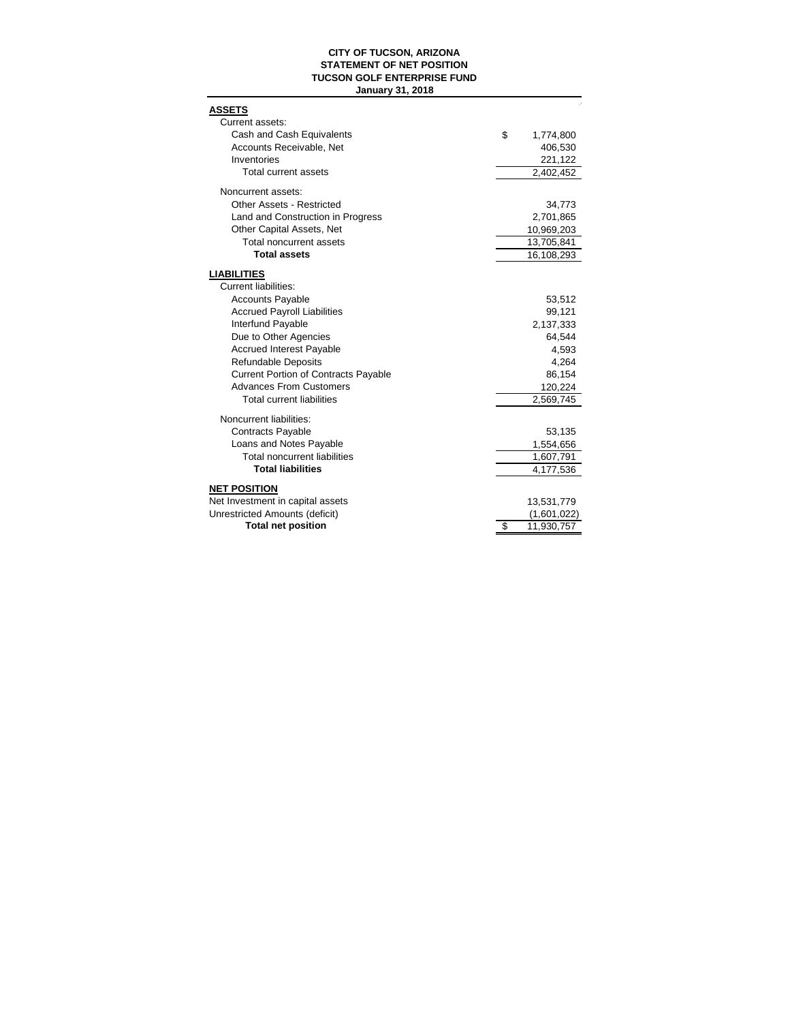### **CITY OF TUCSON, ARIZONA STATEMENT OF NET POSITION TUCSON GOLF ENTERPRISE FUND January 31, 2018**

| <b>ASSETS</b>                                                  |                  |
|----------------------------------------------------------------|------------------|
| Current assets:                                                |                  |
| Cash and Cash Equivalents                                      | \$<br>1,774,800  |
| Accounts Receivable, Net<br>Inventories                        | 406,530          |
| Total current assets                                           | 221,122          |
|                                                                | 2,402,452        |
| Noncurrent assets:                                             |                  |
| Other Assets - Restricted                                      | 34,773           |
| Land and Construction in Progress                              | 2,701,865        |
| Other Capital Assets, Net                                      | 10,969,203       |
| Total noncurrent assets                                        | 13,705,841       |
| <b>Total assets</b>                                            | 16,108,293       |
| <b>LIABILITIES</b>                                             |                  |
| <b>Current liabilities:</b>                                    |                  |
| <b>Accounts Payable</b>                                        | 53,512           |
| <b>Accrued Payroll Liabilities</b>                             | 99,121           |
| Interfund Payable                                              | 2,137,333        |
| Due to Other Agencies                                          | 64,544           |
| <b>Accrued Interest Payable</b>                                | 4,593            |
| <b>Refundable Deposits</b>                                     | 4,264            |
| <b>Current Portion of Contracts Payable</b>                    | 86,154           |
| <b>Advances From Customers</b>                                 | 120,224          |
| <b>Total current liabilities</b>                               | 2,569,745        |
|                                                                |                  |
| Noncurrent liabilities:                                        |                  |
| <b>Contracts Payable</b>                                       | 53,135           |
| Loans and Notes Payable<br><b>Total noncurrent liabilities</b> | 1,554,656        |
| <b>Total liabilities</b>                                       | 1,607,791        |
|                                                                | 4,177,536        |
| <b>NET POSITION</b>                                            |                  |
| Net Investment in capital assets                               | 13,531,779       |
| Unrestricted Amounts (deficit)                                 | (1,601,022)      |
| <b>Total net position</b>                                      | \$<br>11,930,757 |